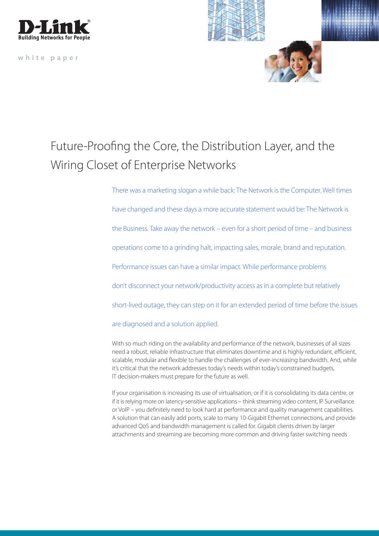

**white paper**



## Future-Proofing the Core, the Distribution Layer, and the Wiring Closet of Enterprise Networks

There was a marketing slogan a while back: The Network is the Computer. Well times have changed and these days a more accurate statement would be: The Network is the Business. Take away the network – even for a short period of time – and business operations come to a grinding halt, impacting sales, morale, brand and reputation. Performance issues can have a similar impact. While performance problems don't disconnect your network/productivity access as in a complete but relatively short-lived outage, they can step on it for an extended period of time before the issues are diagnosed and a solution applied.

With so much riding on the availability and performance of the network, businesses of all sizes need a robust, reliable infrastructure that eliminates downtime and is highly redundant, efficient, scalable, modular and flexible to handle the challenges of ever-increasing bandwidth. And, while it's critical that the network addresses today's needs within today's constrained budgets, IT decision-makers must prepare for the future as well.

If your organisation is increasing its use of virtualisation, or if it is consolidating its data centre, or if it is relying more on latency-sensitive applications – think streaming video content, IP Surveillance or VoIP – you definitely need to look hard at performance and quality management capabilities. A solution that can easily add ports, scale to many 10-Gigabit Ethernet connections, and provide advanced QoS and bandwidth management is called for. Gigabit clients driven by larger attachments and streaming are becoming more common and driving faster switching needs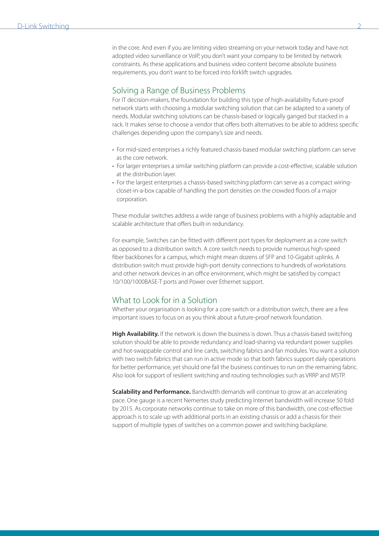in the core. And even if you are limiting video streaming on your network today and have not adopted video surveillance or VoIP, you don't want your company to be limited by network constraints. As these applications and business video content become absolute business requirements, you don't want to be forced into forklift switch upgrades.

## Solving a Range of Business Problems

For IT decision-makers, the foundation for building this type of high-availability future-proof network starts with choosing a modular switching solution that can be adapted to a variety of needs. Modular switching solutions can be chassis-based or logically ganged but stacked in a rack. It makes sense to choose a vendor that offers both alternatives to be able to address specific challenges depending upon the company's size and needs.

- For mid-sized enterprises a richly featured chassis-based modular switching platform can serve as the core network.
- For larger enterprises a similar switching platform can provide a cost-effective, scalable solution at the distribution layer.
- For the largest enterprises a chassis-based switching platform can serve as a compact wiring closet-in-a-box capable of handling the port densities on the crowded floors of a major corporation.

These modular switches address a wide range of business problems with a highly adaptable and scalable architecture that offers built-in redundancy.

For example, Switches can be fitted with different port types for deployment as a core switch as opposed to a distribution switch. A core switch needs to provide numerous high-speed fiber backbones for a campus, which might mean dozens of SFP and 10-Gigabit uplinks. A distribution switch must provide high-port density connections to hundreds of workstations and other network devices in an office environment, which might be satisfied by compact 10/100/1000BASE-T ports and Power over Ethernet support.

## What to Look for in a Solution

Whether your organisation is looking for a core switch or a distribution switch, there are a few important issues to focus on as you think about a future-proof network foundation.

**High Availability.** If the network is down the business is down. Thus a chassis-based switching solution should be able to provide redundancy and load-sharing via redundant power supplies and hot-swappable control and line cards, switching fabrics and fan modules. You want a solution with two switch fabrics that can run in active mode so that both fabrics support daily operations for better performance, yet should one fail the business continues to run on the remaining fabric. Also look for support of resilient switching and routing technologies such as VRRP and MSTP.

**Scalability and Performance.** Bandwidth demands will continue to grow at an accelerating pace. One gauge is a recent Nemertes study predicting Internet bandwidth will increase 50 fold by 2015. As corporate networks continue to take on more of this bandwidth, one cost-effective approach is to scale up with additional ports in an existing chassis or add a chassis for their support of multiple types of switches on a common power and switching backplane.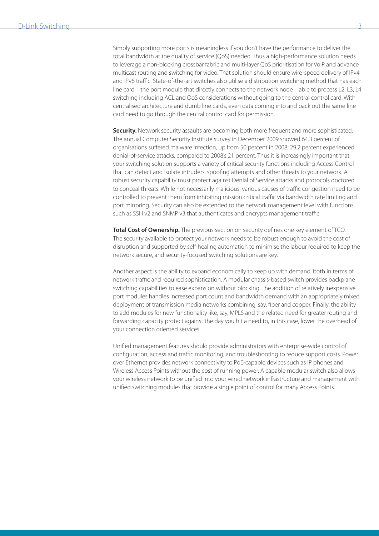Simply supporting more ports is meaningless if you don't have the performance to deliver the total bandwidth at the quality of service (QoS) needed. Thus a high-performance solution needs to leverage a non-blocking crossbar fabric and multi-layer QoS prioritisation for VoIP and advance multicast routing and switching for video. That solution should ensure wire-speed delivery of IPv4 and IPv6 traffic. State-of-the-art switches also utilise a distribution switching method that has each line card – the port module that directly connects to the network node – able to process L2, L3, L4 switching including ACL and QoS considerations without going to the central control card. With centralised architecture and dumb line cards, even data coming into and back out the same line card need to go through the central control card for permission.

**Security.** Network security assaults are becoming both more frequent and more sophisticated. The annual Computer Security Institute survey in December 2009 showed 64.3 percent of organisations suffered malware infection, up from 50 percent in 2008; 29.2 percent experienced denial-of-service attacks, compared to 2008's 21 percent. Thus it is increasingly important that your switching solution supports a variety of critical security functions including Access Control that can detect and isolate intruders, spoofing attempts and other threats to your network. A robust security capability must protect against Denial of Service attacks and protocols doctored to conceal threats. While not necessarily malicious, various causes of traffic congestion need to be controlled to prevent them from inhibiting mission critical traffic via bandwidth rate limiting and port mirroring. Security can also be extended to the network management level with functions such as SSH v2 and SNMP v3 that authenticates and encrypts management traffic.

**Total Cost of Ownership.** The previous section on security defines one key element of TCO. The security available to protect your network needs to be robust enough to avoid the cost of disruption and supported by self-healing automation to minimise the labour required to keep the network secure, and security-focused switching solutions are key.

Another aspect is the ability to expand economically to keep up with demand, both in terms of network traffic and required sophistication. A modular chassis-based switch provides backplane switching capabilities to ease expansion without blocking. The addition of relatively inexpensive port modules handles increased port count and bandwidth demand with an appropriately mixed deployment of transmission media networks combining, say, fiber and copper. Finally, the ability to add modules for new functionality like, say, MPLS and the related need for greater routing and forwarding capacity protect against the day you hit a need to, in this case, lower the overhead of your connection oriented services.

Unified management features should provide administrators with enterprise-wide control of configuration, access and traffic monitoring, and troubleshooting to reduce support costs. Power over Ethernet provides network connectivity to PoE-capable devices such as IP phones and Wireless Access Points without the cost of running power. A capable modular switch also allows your wireless network to be unified into your wired network infrastructure and management with unified switching modules that provide a single point of control for many Access Points.